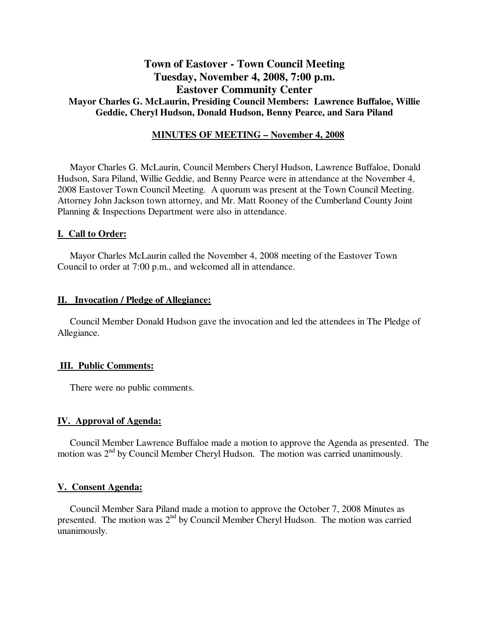# **Town of Eastover - Town Council Meeting Tuesday, November 4, 2008, 7:00 p.m. Eastover Community Center Mayor Charles G. McLaurin, Presiding Council Members: Lawrence Buffaloe, Willie Geddie, Cheryl Hudson, Donald Hudson, Benny Pearce, and Sara Piland**

## **MINUTES OF MEETING – November 4, 2008**

Mayor Charles G. McLaurin, Council Members Cheryl Hudson, Lawrence Buffaloe, Donald Hudson, Sara Piland, Willie Geddie, and Benny Pearce were in attendance at the November 4, 2008 Eastover Town Council Meeting. A quorum was present at the Town Council Meeting. Attorney John Jackson town attorney, and Mr. Matt Rooney of the Cumberland County Joint Planning & Inspections Department were also in attendance.

### **I. Call to Order:**

Mayor Charles McLaurin called the November 4, 2008 meeting of the Eastover Town Council to order at 7:00 p.m., and welcomed all in attendance.

### **II. Invocation / Pledge of Allegiance:**

 Council Member Donald Hudson gave the invocation and led the attendees in The Pledge of Allegiance.

#### **III. Public Comments:**

There were no public comments.

### **IV. Approval of Agenda:**

 Council Member Lawrence Buffaloe made a motion to approve the Agenda as presented. The motion was 2nd by Council Member Cheryl Hudson. The motion was carried unanimously.

### **V. Consent Agenda:**

 Council Member Sara Piland made a motion to approve the October 7, 2008 Minutes as presented. The motion was  $2<sup>nd</sup>$  by Council Member Cheryl Hudson. The motion was carried unanimously.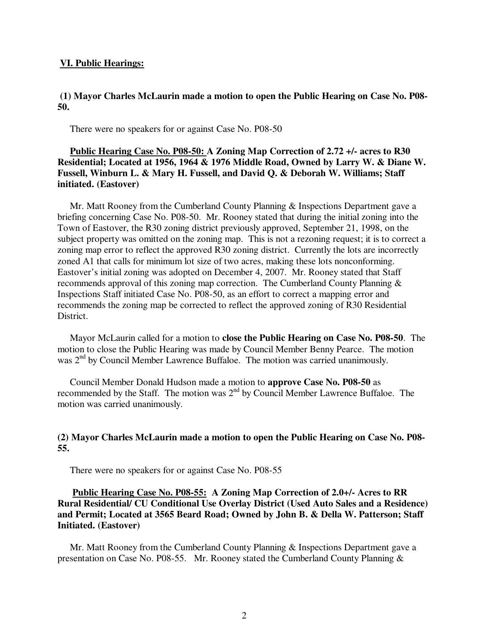### **VI. Public Hearings:**

## **(1) Mayor Charles McLaurin made a motion to open the Public Hearing on Case No. P08- 50.**

There were no speakers for or against Case No. P08-50

# **Public Hearing Case No. P08-50: A Zoning Map Correction of 2.72 +/- acres to R30 Residential; Located at 1956, 1964 & 1976 Middle Road, Owned by Larry W. & Diane W. Fussell, Winburn L. & Mary H. Fussell, and David Q. & Deborah W. Williams; Staff initiated. (Eastover)**

 Mr. Matt Rooney from the Cumberland County Planning & Inspections Department gave a briefing concerning Case No. P08-50. Mr. Rooney stated that during the initial zoning into the Town of Eastover, the R30 zoning district previously approved, September 21, 1998, on the subject property was omitted on the zoning map. This is not a rezoning request; it is to correct a zoning map error to reflect the approved R30 zoning district. Currently the lots are incorrectly zoned A1 that calls for minimum lot size of two acres, making these lots nonconforming. Eastover's initial zoning was adopted on December 4, 2007. Mr. Rooney stated that Staff recommends approval of this zoning map correction. The Cumberland County Planning & Inspections Staff initiated Case No. P08-50, as an effort to correct a mapping error and recommends the zoning map be corrected to reflect the approved zoning of R30 Residential District.

 Mayor McLaurin called for a motion to **close the Public Hearing on Case No. P08-50**. The motion to close the Public Hearing was made by Council Member Benny Pearce. The motion was  $2<sup>nd</sup>$  by Council Member Lawrence Buffaloe. The motion was carried unanimously.

 Council Member Donald Hudson made a motion to **approve Case No. P08-50** as recommended by the Staff. The motion was  $2<sup>nd</sup>$  by Council Member Lawrence Buffaloe. The motion was carried unanimously.

# **(2) Mayor Charles McLaurin made a motion to open the Public Hearing on Case No. P08- 55.**

There were no speakers for or against Case No. P08-55

# **Public Hearing Case No. P08-55: A Zoning Map Correction of 2.0+/- Acres to RR Rural Residential/ CU Conditional Use Overlay District (Used Auto Sales and a Residence) and Permit; Located at 3565 Beard Road; Owned by John B. & Della W. Patterson; Staff Initiated. (Eastover)**

 Mr. Matt Rooney from the Cumberland County Planning & Inspections Department gave a presentation on Case No. P08-55. Mr. Rooney stated the Cumberland County Planning &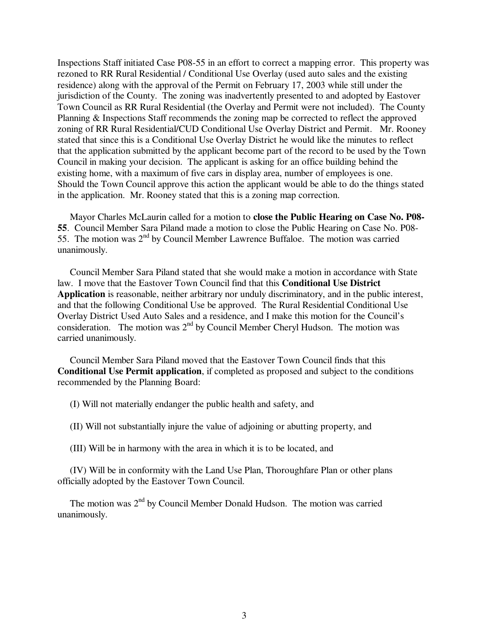Inspections Staff initiated Case P08-55 in an effort to correct a mapping error. This property was rezoned to RR Rural Residential / Conditional Use Overlay (used auto sales and the existing residence) along with the approval of the Permit on February 17, 2003 while still under the jurisdiction of the County. The zoning was inadvertently presented to and adopted by Eastover Town Council as RR Rural Residential (the Overlay and Permit were not included). The County Planning & Inspections Staff recommends the zoning map be corrected to reflect the approved zoning of RR Rural Residential/CUD Conditional Use Overlay District and Permit. Mr. Rooney stated that since this is a Conditional Use Overlay District he would like the minutes to reflect that the application submitted by the applicant become part of the record to be used by the Town Council in making your decision. The applicant is asking for an office building behind the existing home, with a maximum of five cars in display area, number of employees is one. Should the Town Council approve this action the applicant would be able to do the things stated in the application. Mr. Rooney stated that this is a zoning map correction.

 Mayor Charles McLaurin called for a motion to **close the Public Hearing on Case No. P08- 55**. Council Member Sara Piland made a motion to close the Public Hearing on Case No. P08- 55. The motion was  $2<sup>nd</sup>$  by Council Member Lawrence Buffaloe. The motion was carried unanimously.

 Council Member Sara Piland stated that she would make a motion in accordance with State law. I move that the Eastover Town Council find that this **Conditional Use District Application** is reasonable, neither arbitrary nor unduly discriminatory, and in the public interest, and that the following Conditional Use be approved. The Rural Residential Conditional Use Overlay District Used Auto Sales and a residence, and I make this motion for the Council's consideration. The motion was  $2<sup>nd</sup>$  by Council Member Cheryl Hudson. The motion was carried unanimously.

 Council Member Sara Piland moved that the Eastover Town Council finds that this **Conditional Use Permit application**, if completed as proposed and subject to the conditions recommended by the Planning Board:

(I) Will not materially endanger the public health and safety, and

(II) Will not substantially injure the value of adjoining or abutting property, and

(III) Will be in harmony with the area in which it is to be located, and

 (IV) Will be in conformity with the Land Use Plan, Thoroughfare Plan or other plans officially adopted by the Eastover Town Council.

The motion was  $2<sup>nd</sup>$  by Council Member Donald Hudson. The motion was carried unanimously.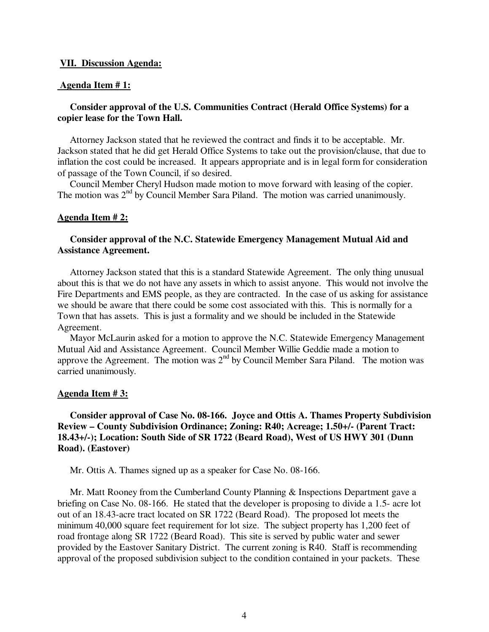#### **VII. Discussion Agenda:**

#### **Agenda Item # 1:**

# **Consider approval of the U.S. Communities Contract (Herald Office Systems) for a copier lease for the Town Hall.**

 Attorney Jackson stated that he reviewed the contract and finds it to be acceptable. Mr. Jackson stated that he did get Herald Office Systems to take out the provision/clause, that due to inflation the cost could be increased. It appears appropriate and is in legal form for consideration of passage of the Town Council, if so desired.

 Council Member Cheryl Hudson made motion to move forward with leasing of the copier. The motion was 2<sup>nd</sup> by Council Member Sara Piland. The motion was carried unanimously.

### **Agenda Item # 2:**

# **Consider approval of the N.C. Statewide Emergency Management Mutual Aid and Assistance Agreement.**

 Attorney Jackson stated that this is a standard Statewide Agreement. The only thing unusual about this is that we do not have any assets in which to assist anyone. This would not involve the Fire Departments and EMS people, as they are contracted. In the case of us asking for assistance we should be aware that there could be some cost associated with this. This is normally for a Town that has assets. This is just a formality and we should be included in the Statewide Agreement.

 Mayor McLaurin asked for a motion to approve the N.C. Statewide Emergency Management Mutual Aid and Assistance Agreement. Council Member Willie Geddie made a motion to approve the Agreement. The motion was  $2<sup>nd</sup>$  by Council Member Sara Piland. The motion was carried unanimously.

#### **Agenda Item # 3:**

# **Consider approval of Case No. 08-166. Joyce and Ottis A. Thames Property Subdivision Review – County Subdivision Ordinance; Zoning: R40; Acreage; 1.50+/- (Parent Tract: 18.43+/-); Location: South Side of SR 1722 (Beard Road), West of US HWY 301 (Dunn Road). (Eastover)**

Mr. Ottis A. Thames signed up as a speaker for Case No. 08-166.

 Mr. Matt Rooney from the Cumberland County Planning & Inspections Department gave a briefing on Case No. 08-166. He stated that the developer is proposing to divide a 1.5- acre lot out of an 18.43-acre tract located on SR 1722 (Beard Road). The proposed lot meets the minimum 40,000 square feet requirement for lot size. The subject property has 1,200 feet of road frontage along SR 1722 (Beard Road). This site is served by public water and sewer provided by the Eastover Sanitary District. The current zoning is R40. Staff is recommending approval of the proposed subdivision subject to the condition contained in your packets. These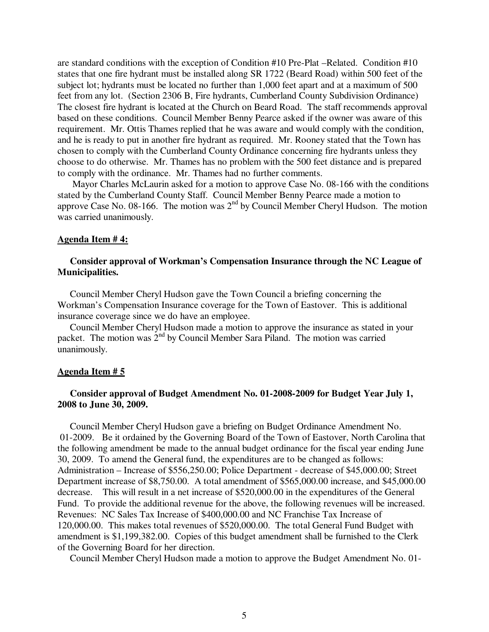are standard conditions with the exception of Condition #10 Pre-Plat –Related. Condition #10 states that one fire hydrant must be installed along SR 1722 (Beard Road) within 500 feet of the subject lot; hydrants must be located no further than 1,000 feet apart and at a maximum of 500 feet from any lot. (Section 2306 B, Fire hydrants, Cumberland County Subdivision Ordinance) The closest fire hydrant is located at the Church on Beard Road. The staff recommends approval based on these conditions.Council Member Benny Pearce asked if the owner was aware of this requirement. Mr. Ottis Thames replied that he was aware and would comply with the condition, and he is ready to put in another fire hydrant as required. Mr. Rooney stated that the Town has chosen to comply with the Cumberland County Ordinance concerning fire hydrants unless they choose to do otherwise. Mr. Thames has no problem with the 500 feet distance and is prepared to comply with the ordinance. Mr. Thames had no further comments.

 Mayor Charles McLaurin asked for a motion to approve Case No. 08-166 with the conditions stated by the Cumberland County Staff. Council Member Benny Pearce made a motion to approve Case No. 08-166. The motion was  $2<sup>nd</sup>$  by Council Member Cheryl Hudson. The motion was carried unanimously.

#### **Agenda Item # 4:**

## **Consider approval of Workman's Compensation Insurance through the NC League of Municipalities.**

 Council Member Cheryl Hudson gave the Town Council a briefing concerning the Workman's Compensation Insurance coverage for the Town of Eastover. This is additional insurance coverage since we do have an employee.

 Council Member Cheryl Hudson made a motion to approve the insurance as stated in your packet. The motion was 2<sup>nd</sup> by Council Member Sara Piland. The motion was carried unanimously.

#### **Agenda Item # 5**

## **Consider approval of Budget Amendment No. 01-2008-2009 for Budget Year July 1, 2008 to June 30, 2009.**

 Council Member Cheryl Hudson gave a briefing on Budget Ordinance Amendment No. 01-2009. Be it ordained by the Governing Board of the Town of Eastover, North Carolina that the following amendment be made to the annual budget ordinance for the fiscal year ending June 30, 2009. To amend the General fund, the expenditures are to be changed as follows: Administration – Increase of \$556,250.00; Police Department - decrease of \$45,000.00; Street Department increase of \$8,750.00. A total amendment of \$565,000.00 increase, and \$45,000.00 decrease. This will result in a net increase of \$520,000.00 in the expenditures of the General Fund. To provide the additional revenue for the above, the following revenues will be increased. Revenues: NC Sales Tax Increase of \$400,000.00 and NC Franchise Tax Increase of 120,000.00. This makes total revenues of \$520,000.00. The total General Fund Budget with amendment is \$1,199,382.00. Copies of this budget amendment shall be furnished to the Clerk of the Governing Board for her direction.

Council Member Cheryl Hudson made a motion to approve the Budget Amendment No. 01-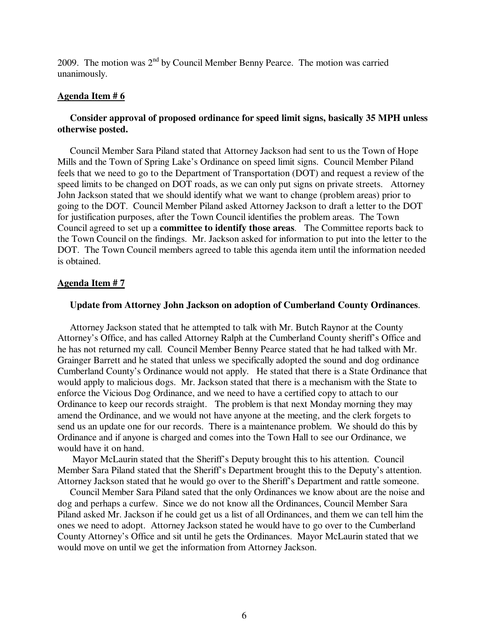2009. The motion was  $2^{nd}$  by Council Member Benny Pearce. The motion was carried unanimously.

## **Agenda Item # 6**

# **Consider approval of proposed ordinance for speed limit signs, basically 35 MPH unless otherwise posted.**

 Council Member Sara Piland stated that Attorney Jackson had sent to us the Town of Hope Mills and the Town of Spring Lake's Ordinance on speed limit signs. Council Member Piland feels that we need to go to the Department of Transportation (DOT) and request a review of the speed limits to be changed on DOT roads, as we can only put signs on private streets. Attorney John Jackson stated that we should identify what we want to change (problem areas) prior to going to the DOT. Council Member Piland asked Attorney Jackson to draft a letter to the DOT for justification purposes, after the Town Council identifies the problem areas. The Town Council agreed to set up a **committee to identify those areas**. The Committee reports back to the Town Council on the findings. Mr. Jackson asked for information to put into the letter to the DOT. The Town Council members agreed to table this agenda item until the information needed is obtained.

### **Agenda Item # 7**

## **Update from Attorney John Jackson on adoption of Cumberland County Ordinances**.

 Attorney Jackson stated that he attempted to talk with Mr. Butch Raynor at the County Attorney's Office, and has called Attorney Ralph at the Cumberland County sheriff's Office and he has not returned my call. Council Member Benny Pearce stated that he had talked with Mr. Grainger Barrett and he stated that unless we specifically adopted the sound and dog ordinance Cumberland County's Ordinance would not apply. He stated that there is a State Ordinance that would apply to malicious dogs. Mr. Jackson stated that there is a mechanism with the State to enforce the Vicious Dog Ordinance, and we need to have a certified copy to attach to our Ordinance to keep our records straight. The problem is that next Monday morning they may amend the Ordinance, and we would not have anyone at the meeting, and the clerk forgets to send us an update one for our records. There is a maintenance problem. We should do this by Ordinance and if anyone is charged and comes into the Town Hall to see our Ordinance, we would have it on hand.

 Mayor McLaurin stated that the Sheriff's Deputy brought this to his attention. Council Member Sara Piland stated that the Sheriff's Department brought this to the Deputy's attention. Attorney Jackson stated that he would go over to the Sheriff's Department and rattle someone.

 Council Member Sara Piland sated that the only Ordinances we know about are the noise and dog and perhaps a curfew. Since we do not know all the Ordinances, Council Member Sara Piland asked Mr. Jackson if he could get us a list of all Ordinances, and them we can tell him the ones we need to adopt. Attorney Jackson stated he would have to go over to the Cumberland County Attorney's Office and sit until he gets the Ordinances. Mayor McLaurin stated that we would move on until we get the information from Attorney Jackson.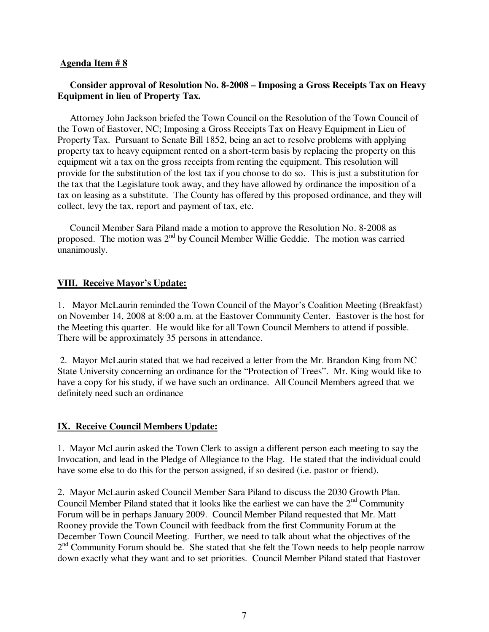## **Agenda Item # 8**

# **Consider approval of Resolution No. 8-2008 – Imposing a Gross Receipts Tax on Heavy Equipment in lieu of Property Tax.**

 Attorney John Jackson briefed the Town Council on the Resolution of the Town Council of the Town of Eastover, NC; Imposing a Gross Receipts Tax on Heavy Equipment in Lieu of Property Tax. Pursuant to Senate Bill 1852, being an act to resolve problems with applying property tax to heavy equipment rented on a short-term basis by replacing the property on this equipment wit a tax on the gross receipts from renting the equipment. This resolution will provide for the substitution of the lost tax if you choose to do so. This is just a substitution for the tax that the Legislature took away, and they have allowed by ordinance the imposition of a tax on leasing as a substitute. The County has offered by this proposed ordinance, and they will collect, levy the tax, report and payment of tax, etc.

 Council Member Sara Piland made a motion to approve the Resolution No. 8-2008 as proposed. The motion was 2nd by Council Member Willie Geddie. The motion was carried unanimously.

# **VIII. Receive Mayor's Update:**

1. Mayor McLaurin reminded the Town Council of the Mayor's Coalition Meeting (Breakfast) on November 14, 2008 at 8:00 a.m. at the Eastover Community Center. Eastover is the host for the Meeting this quarter. He would like for all Town Council Members to attend if possible. There will be approximately 35 persons in attendance.

 2. Mayor McLaurin stated that we had received a letter from the Mr. Brandon King from NC State University concerning an ordinance for the "Protection of Trees". Mr. King would like to have a copy for his study, if we have such an ordinance. All Council Members agreed that we definitely need such an ordinance

# **IX. Receive Council Members Update:**

1. Mayor McLaurin asked the Town Clerk to assign a different person each meeting to say the Invocation, and lead in the Pledge of Allegiance to the Flag. He stated that the individual could have some else to do this for the person assigned, if so desired (i.e. pastor or friend).

2. Mayor McLaurin asked Council Member Sara Piland to discuss the 2030 Growth Plan. Council Member Piland stated that it looks like the earliest we can have the  $2<sup>nd</sup>$  Community Forum will be in perhaps January 2009. Council Member Piland requested that Mr. Matt Rooney provide the Town Council with feedback from the first Community Forum at the December Town Council Meeting. Further, we need to talk about what the objectives of the  $2<sup>nd</sup>$  Community Forum should be. She stated that she felt the Town needs to help people narrow down exactly what they want and to set priorities. Council Member Piland stated that Eastover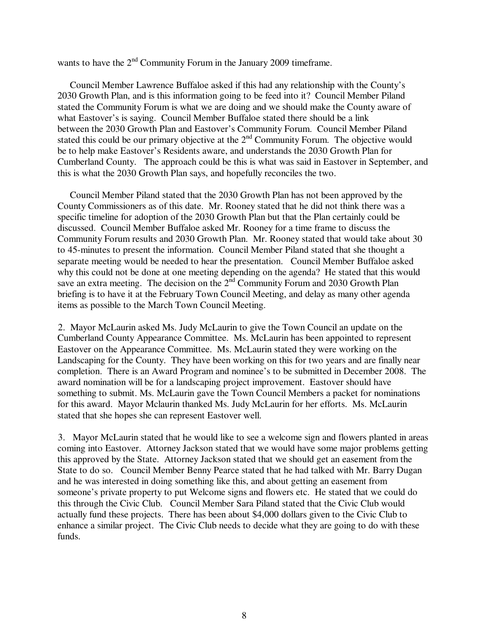wants to have the  $2<sup>nd</sup>$  Community Forum in the January 2009 timeframe.

 Council Member Lawrence Buffaloe asked if this had any relationship with the County's 2030 Growth Plan, and is this information going to be feed into it? Council Member Piland stated the Community Forum is what we are doing and we should make the County aware of what Eastover's is saying. Council Member Buffaloe stated there should be a link between the 2030 Growth Plan and Eastover's Community Forum. Council Member Piland stated this could be our primary objective at the  $2<sup>nd</sup>$  Community Forum. The objective would be to help make Eastover's Residents aware, and understands the 2030 Growth Plan for Cumberland County. The approach could be this is what was said in Eastover in September, and this is what the 2030 Growth Plan says, and hopefully reconciles the two.

 Council Member Piland stated that the 2030 Growth Plan has not been approved by the County Commissioners as of this date. Mr. Rooney stated that he did not think there was a specific timeline for adoption of the 2030 Growth Plan but that the Plan certainly could be discussed. Council Member Buffaloe asked Mr. Rooney for a time frame to discuss the Community Forum results and 2030 Growth Plan. Mr. Rooney stated that would take about 30 to 45-minutes to present the information. Council Member Piland stated that she thought a separate meeting would be needed to hear the presentation. Council Member Buffaloe asked why this could not be done at one meeting depending on the agenda? He stated that this would save an extra meeting. The decision on the  $2<sup>nd</sup>$  Community Forum and 2030 Growth Plan briefing is to have it at the February Town Council Meeting, and delay as many other agenda items as possible to the March Town Council Meeting.

 2. Mayor McLaurin asked Ms. Judy McLaurin to give the Town Council an update on the Cumberland County Appearance Committee. Ms. McLaurin has been appointed to represent Eastover on the Appearance Committee. Ms. McLaurin stated they were working on the Landscaping for the County. They have been working on this for two years and are finally near completion. There is an Award Program and nominee's to be submitted in December 2008. The award nomination will be for a landscaping project improvement. Eastover should have something to submit. Ms. McLaurin gave the Town Council Members a packet for nominations for this award. Mayor Mclaurin thanked Ms. Judy McLaurin for her efforts. Ms. McLaurin stated that she hopes she can represent Eastover well.

 3. Mayor McLaurin stated that he would like to see a welcome sign and flowers planted in areas coming into Eastover. Attorney Jackson stated that we would have some major problems getting this approved by the State. Attorney Jackson stated that we should get an easement from the State to do so. Council Member Benny Pearce stated that he had talked with Mr. Barry Dugan and he was interested in doing something like this, and about getting an easement from someone's private property to put Welcome signs and flowers etc. He stated that we could do this through the Civic Club. Council Member Sara Piland stated that the Civic Club would actually fund these projects. There has been about \$4,000 dollars given to the Civic Club to enhance a similar project. The Civic Club needs to decide what they are going to do with these funds.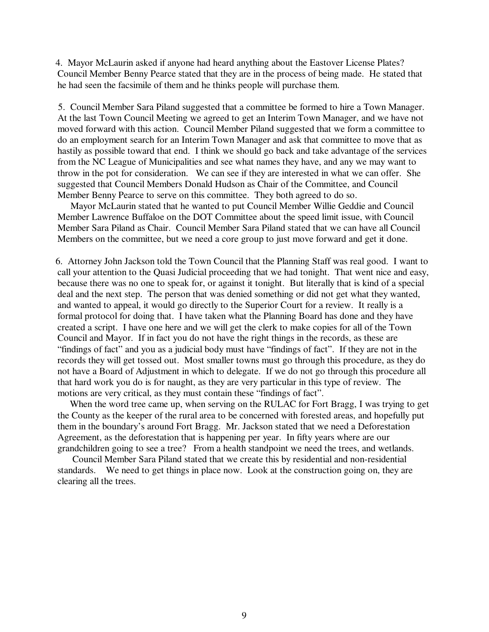4. Mayor McLaurin asked if anyone had heard anything about the Eastover License Plates? Council Member Benny Pearce stated that they are in the process of being made. He stated that he had seen the facsimile of them and he thinks people will purchase them.

 5. Council Member Sara Piland suggested that a committee be formed to hire a Town Manager. At the last Town Council Meeting we agreed to get an Interim Town Manager, and we have not moved forward with this action. Council Member Piland suggested that we form a committee to do an employment search for an Interim Town Manager and ask that committee to move that as hastily as possible toward that end. I think we should go back and take advantage of the services from the NC League of Municipalities and see what names they have, and any we may want to throw in the pot for consideration. We can see if they are interested in what we can offer. She suggested that Council Members Donald Hudson as Chair of the Committee, and Council Member Benny Pearce to serve on this committee. They both agreed to do so.

 Mayor McLaurin stated that he wanted to put Council Member Willie Geddie and Council Member Lawrence Buffaloe on the DOT Committee about the speed limit issue, with Council Member Sara Piland as Chair. Council Member Sara Piland stated that we can have all Council Members on the committee, but we need a core group to just move forward and get it done.

 6. Attorney John Jackson told the Town Council that the Planning Staff was real good. I want to call your attention to the Quasi Judicial proceeding that we had tonight. That went nice and easy, because there was no one to speak for, or against it tonight. But literally that is kind of a special deal and the next step. The person that was denied something or did not get what they wanted, and wanted to appeal, it would go directly to the Superior Court for a review. It really is a formal protocol for doing that. I have taken what the Planning Board has done and they have created a script. I have one here and we will get the clerk to make copies for all of the Town Council and Mayor. If in fact you do not have the right things in the records, as these are "findings of fact" and you as a judicial body must have "findings of fact". If they are not in the records they will get tossed out. Most smaller towns must go through this procedure, as they do not have a Board of Adjustment in which to delegate. If we do not go through this procedure all that hard work you do is for naught, as they are very particular in this type of review. The motions are very critical, as they must contain these "findings of fact".

 When the word tree came up, when serving on the RULAC for Fort Bragg, I was trying to get the County as the keeper of the rural area to be concerned with forested areas, and hopefully put them in the boundary's around Fort Bragg. Mr. Jackson stated that we need a Deforestation Agreement, as the deforestation that is happening per year. In fifty years where are our grandchildren going to see a tree? From a health standpoint we need the trees, and wetlands.

 Council Member Sara Piland stated that we create this by residential and non-residential standards. We need to get things in place now. Look at the construction going on, they are clearing all the trees.